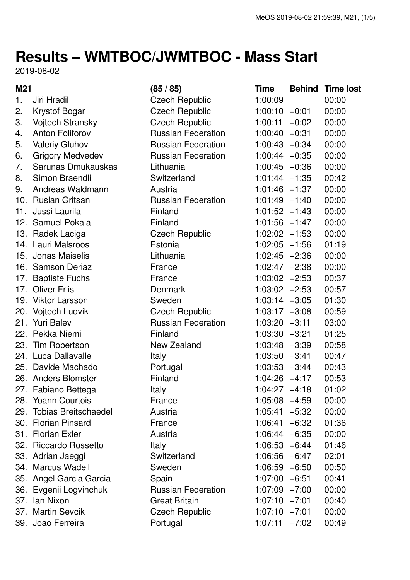## **Results – WMTBOC/JWMTBOC - Mass Start**

2019-08-02

| M21 |                             | (85/85)                   | <b>Time</b>      | <b>Behind</b> | <b>Time lost</b> |
|-----|-----------------------------|---------------------------|------------------|---------------|------------------|
| 1.  | Jiri Hradil                 | <b>Czech Republic</b>     | 1:00:09          |               | 00:00            |
| 2.  | <b>Krystof Bogar</b>        | <b>Czech Republic</b>     | $1:00:10 + 0:01$ |               | 00:00            |
| 3.  | Vojtech Stransky            | <b>Czech Republic</b>     | 1:00:11          | $+0:02$       | 00:00            |
| 4.  | <b>Anton Foliforov</b>      | <b>Russian Federation</b> | $1:00:40 +0:31$  |               | 00:00            |
| 5.  | <b>Valeriy Gluhov</b>       | <b>Russian Federation</b> | $1:00:43 +0:34$  |               | 00:00            |
| 6.  | <b>Grigory Medvedev</b>     | <b>Russian Federation</b> | $1:00:44 +0:35$  |               | 00:00            |
| 7.  | Sarunas Dmukauskas          | Lithuania                 | $1:00:45 +0:36$  |               | 00:00            |
| 8.  | Simon Braendli              | Switzerland               | $1:01:44 +1:35$  |               | 00:42            |
| 9.  | Andreas Waldmann            | Austria                   | $1:01:46 +1:37$  |               | 00:00            |
|     | 10. Ruslan Gritsan          | <b>Russian Federation</b> | $1:01:49 +1:40$  |               | 00:00            |
| 11. | Jussi Laurila               | Finland                   | $1:01:52 +1:43$  |               | 00:00            |
|     | 12. Samuel Pokala           | Finland                   | $1:01:56 +1:47$  |               | 00:00            |
|     | 13. Radek Laciga            | <b>Czech Republic</b>     | $1:02:02 + 1:53$ |               | 00:00            |
|     | 14. Lauri Malsroos          | Estonia                   | $1:02:05 +1:56$  |               | 01:19            |
|     | 15. Jonas Maiselis          | Lithuania                 | $1:02:45 +2:36$  |               | 00:00            |
|     | 16. Samson Deriaz           | France                    | $1:02:47 +2:38$  |               | 00:00            |
|     | 17. Baptiste Fuchs          | France                    | $1:03:02 +2:53$  |               | 00:37            |
|     | 17. Oliver Friis            | <b>Denmark</b>            | $1:03:02 +2:53$  |               | 00:57            |
|     | 19. Viktor Larsson          | Sweden                    | $1:03:14 +3:05$  |               | 01:30            |
|     | 20. Vojtech Ludvik          | <b>Czech Republic</b>     | $1:03:17 +3:08$  |               | 00:59            |
| 21. | <b>Yuri Balev</b>           | <b>Russian Federation</b> | $1:03:20 +3:11$  |               | 03:00            |
|     | 22. Pekka Niemi             | Finland                   | $1:03:30 +3:21$  |               | 01:25            |
| 23. | Tim Robertson               | New Zealand               | $1:03:48$ +3:39  |               | 00:58            |
|     | 24. Luca Dallavalle         | <b>Italy</b>              | $1:03:50 +3:41$  |               | 00:47            |
|     | 25. Davide Machado          | Portugal                  | $1:03:53 +3:44$  |               | 00:43            |
|     | 26. Anders Blomster         | Finland                   | $1:04:26 +4:17$  |               | 00:53            |
|     | 27. Fabiano Bettega         | Italy                     | 1:04:27          | $+4:18$       | 01:02            |
|     | 28. Yoann Courtois          | France                    | $1:05:08$ +4:59  |               | 00:00            |
| 29. | <b>Tobias Breitschaedel</b> | Austria                   | 1:05:41          | $+5:32$       | 00:00            |
|     | 30. Florian Pinsard         | France                    | 1:06:41          | $+6:32$       | 01:36            |
|     | 31. Florian Exler           | Austria                   | $1:06:44 + 6:35$ |               | 00:00            |
|     | 32. Riccardo Rossetto       | <b>Italy</b>              | $1:06:53 + 6:44$ |               | 01:46            |
|     | 33. Adrian Jaeggi           | Switzerland               | $1:06:56 + 6:47$ |               | 02:01            |
|     | 34. Marcus Wadell           | Sweden                    | $1:06:59 + 6:50$ |               | 00:50            |
|     | 35. Angel Garcia Garcia     | Spain                     | $1:07:00 + 6:51$ |               | 00:41            |
|     | 36. Evgenii Logvinchuk      | <b>Russian Federation</b> | $1:07:09$ +7:00  |               | 00:00            |
| 37. | lan Nixon                   | <b>Great Britain</b>      | $1:07:10 + 7:01$ |               | 00:40            |
|     | 37. Martin Sevcik           | <b>Czech Republic</b>     | $1:07:10 + 7:01$ |               | 00:00            |
|     | 39. Joao Ferreira           | Portugal                  | 1:07:11          | $+7:02$       | 00:49            |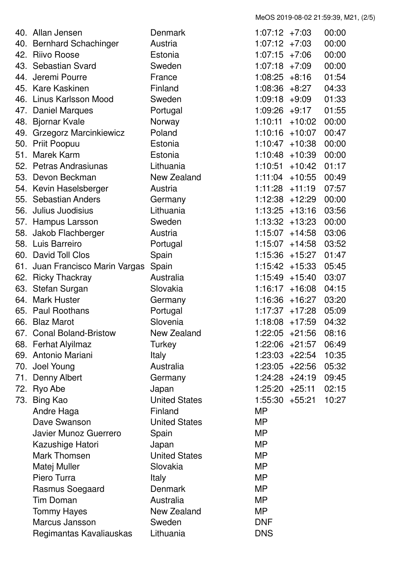MeOS 2019-08-02 21:59:39, M21, (2/5)

|     | 40. Allan Jensen                | Denmark              | 1:07:12           | +7:03    | 00:00 |
|-----|---------------------------------|----------------------|-------------------|----------|-------|
|     | 40. Bernhard Schachinger        | Austria              | $1:07:12 +7:03$   |          | 00:00 |
|     | 42. Riivo Roose                 | Estonia              | 1:07:15           | $+7:06$  | 00:00 |
|     | 43. Sebastian Svard             | Sweden               | 1:07:18           | +7:09    | 00:00 |
| 44. | Jeremi Pourre                   | France               | 1:08:25           | $+8:16$  | 01:54 |
|     | 45. Kare Kaskinen               | Finland              | 1:08:36           | $+8:27$  | 04:33 |
| 46. | Linus Karlsson Mood             | Sweden               | $1:09:18 + 9:09$  |          | 01:33 |
| 47. | <b>Daniel Marques</b>           | Portugal             | 1:09:26           | $+9:17$  | 01:55 |
|     | 48. Bjornar Kvale               | Norway               | 1:10:11           | $+10:02$ | 00:00 |
|     | 49. Grzegorz Marcinkiewicz      | Poland               | 1:10:16           | $+10:07$ | 00:47 |
|     | 50. Priit Poopuu                | Estonia              | 1:10:47           | $+10:38$ | 00:00 |
| 51. | <b>Marek Karm</b>               | Estonia              | 1:10:48           | $+10:39$ | 00:00 |
|     | 52. Petras Andrasiunas          | Lithuania            | 1:10:51           | $+10:42$ | 01:17 |
|     | 53. Devon Beckman               | New Zealand          | 1:11:04           | $+10:55$ | 00:49 |
|     | 54. Kevin Haselsberger          | Austria              | 1:11:28           | $+11:19$ | 07:57 |
|     | 55. Sebastian Anders            | Germany              | $1:12:38 + 12:29$ |          | 00:00 |
|     | 56. Julius Juodisius            | Lithuania            | 1:13:25           | $+13:16$ | 03:56 |
|     | 57. Hampus Larsson              | Sweden               | $1:13:32 + 13:23$ |          | 00:00 |
|     | 58. Jakob Flachberger           | Austria              | 1:15:07           | $+14:58$ | 03:06 |
|     | 58. Luis Barreiro               | Portugal             | 1:15:07           | $+14:58$ | 03:52 |
|     | 60. David Toll Clos             | Spain                | 1:15:36           | $+15:27$ | 01:47 |
|     | 61. Juan Francisco Marin Vargas | Spain                | 1:15:42           | +15:33   | 05:45 |
|     | 62. Ricky Thackray              | Australia            | 1:15:49           | $+15:40$ | 03:07 |
|     | 63. Stefan Surgan               | Slovakia             | $1:16:17 + 16:08$ |          | 04:15 |
| 64. | <b>Mark Huster</b>              | Germany              | 1:16:36           | +16:27   | 03:20 |
| 65. | <b>Paul Roothans</b>            | Portugal             | 1:17:37           | $+17:28$ | 05:09 |
| 66. | <b>Blaz Marot</b>               | Slovenia             | 1:18:08           | $+17:59$ | 04:32 |
|     | 67. Conal Boland-Bristow        | New Zealand          | 1:22:05           | $+21:56$ | 08:16 |
|     | 68. Ferhat Alyilmaz             | Turkey               | $1:22:06$ +21:57  |          | 06:49 |
|     | 69. Antonio Mariani             | Italy                | $1:23:03 +22:54$  |          | 10:35 |
|     | 70. Joel Young                  | Australia            | $1:23:05 +22:56$  |          | 05:32 |
|     | 71. Denny Albert                | Germany              | $1:24:28$ +24:19  |          | 09:45 |
|     | 72. Ryo Abe                     | Japan                | $1:25:20 +25:11$  |          | 02:15 |
|     | 73. Bing Kao                    | <b>United States</b> | $1:55:30 +55:21$  |          | 10:27 |
|     | Andre Haga                      | Finland              | <b>MP</b>         |          |       |
|     | Dave Swanson                    | <b>United States</b> | <b>MP</b>         |          |       |
|     | Javier Munoz Guerrero           | Spain                | MP                |          |       |
|     | Kazushige Hatori                | Japan                | <b>MP</b>         |          |       |
|     | <b>Mark Thomsen</b>             | <b>United States</b> | <b>MP</b>         |          |       |
|     | Matej Muller                    | Slovakia             | MP                |          |       |
|     | Piero Turra                     | <b>Italy</b>         | <b>MP</b>         |          |       |
|     | Rasmus Soegaard                 | <b>Denmark</b>       | <b>MP</b>         |          |       |
|     | <b>Tim Doman</b>                | Australia            | MP                |          |       |
|     | <b>Tommy Hayes</b>              | New Zealand          | <b>MP</b>         |          |       |
|     | Marcus Jansson                  | Sweden               | <b>DNF</b>        |          |       |
|     | Regimantas Kavaliauskas         | Lithuania            | <b>DNS</b>        |          |       |
|     |                                 |                      |                   |          |       |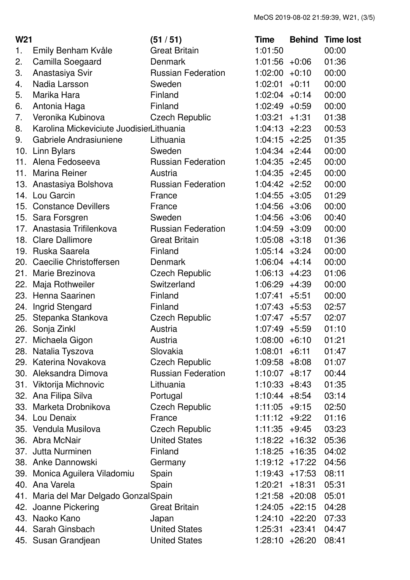| W <sub>21</sub> |                                          | (51/51)                   | Time              | <b>Behind</b> | <b>Time lost</b> |
|-----------------|------------------------------------------|---------------------------|-------------------|---------------|------------------|
| 1.              | Emily Benham Kvåle                       | <b>Great Britain</b>      | 1:01:50           |               | 00:00            |
| 2.              | Camilla Soegaard                         | <b>Denmark</b>            | $1:01:56 +0:06$   |               | 01:36            |
| 3.              | Anastasiya Svir                          | <b>Russian Federation</b> | $1:02:00 +0:10$   |               | 00:00            |
| 4.              | Nadia Larsson                            | Sweden                    | 1:02:01           | $+0:11$       | 00:00            |
| 5.              | Marika Hara                              | Finland                   | 1:02:04           | $+0:14$       | 00:00            |
| 6.              | Antonia Haga                             | Finland                   | $1:02:49 +0:59$   |               | 00:00            |
| 7.              | Veronika Kubinova                        | <b>Czech Republic</b>     | $1:03:21 +1:31$   |               | 01:38            |
| 8.              | Karolina Mickeviciute JuodisierLithuania |                           | $1:04:13 +2:23$   |               | 00:53            |
| 9.              | Gabriele Andrasiuniene                   | Lithuania                 | $1:04:15 +2:25$   |               | 01:35            |
| 10.             | <b>Linn Bylars</b>                       | Sweden                    | $1:04:34 +2:44$   |               | 00:00            |
|                 | 11. Alena Fedoseeva                      | <b>Russian Federation</b> | $1:04:35 +2:45$   |               | 00:00            |
| 11.             | <b>Marina Reiner</b>                     | Austria                   | $1:04:35 +2:45$   |               | 00:00            |
|                 | 13. Anastasiya Bolshova                  | <b>Russian Federation</b> | $1:04:42 +2:52$   |               | 00:00            |
| 14.             | Lou Garcin                               | France                    | $1:04:55 + 3:05$  |               | 01:29            |
|                 | 15. Constance Devillers                  | France                    | $1:04:56 +3:06$   |               | 00:00            |
|                 | 15. Sara Forsgren                        | Sweden                    | $1:04:56 +3:06$   |               | 00:40            |
|                 | 17. Anastasia Trifilenkova               | <b>Russian Federation</b> | $1:04:59 +3:09$   |               | 00:00            |
|                 | 18. Clare Dallimore                      | <b>Great Britain</b>      | $1:05:08 +3:18$   |               | 01:36            |
|                 | 19. Ruska Saarela                        | Finland                   | $1:05:14 +3:24$   |               | 00:00            |
|                 | 20. Caecilie Christoffersen              | Denmark                   | $1:06:04$ +4:14   |               | 00:00            |
| 21.             | Marie Brezinova                          | <b>Czech Republic</b>     | $1:06:13 + 4:23$  |               | 01:06            |
| 22.             | Maja Rothweiler                          | Switzerland               | $1:06:29 +4:39$   |               | 00:00            |
| 23.             | Henna Saarinen                           | Finland                   | $1:07:41 + 5:51$  |               | 00:00            |
| 24.             | Ingrid Stengard                          | Finland                   | $1:07:43 +5:53$   |               | 02:57            |
| 25.             | Stepanka Stankova                        | <b>Czech Republic</b>     | $1:07:47 + 5:57$  |               | 02:07            |
| 26.             | Sonja Zinkl                              | Austria                   | $1:07:49$ +5:59   |               | 01:10            |
| 27.             | Michaela Gigon                           | Austria                   | 1:08:00           | $+6:10$       | 01:21            |
|                 | 28. Natalia Tyszova                      | Slovakia                  | 1:08:01           | $+6:11$       | 01:47            |
|                 | 29. Katerina Novakova                    | <b>Czech Republic</b>     | $1:09:58 + 8:08$  |               | 01:07            |
|                 | 30. Aleksandra Dimova                    | <b>Russian Federation</b> | $1:10:07 + 8:17$  |               | 00:44            |
|                 | 31. Viktorija Michnovic                  | Lithuania                 | $1:10:33 + 8:43$  |               | 01:35            |
|                 | 32. Ana Filipa Silva                     | Portugal                  | $1:10:44 + 8:54$  |               | 03:14            |
| 33.             | Marketa Drobnikova                       | <b>Czech Republic</b>     | $1:11:05 +9:15$   |               | 02:50            |
| 34.             | Lou Denaix                               | France                    | $1:11:12 +9:22$   |               | 01:16            |
|                 | 35. Vendula Musilova                     | <b>Czech Republic</b>     | $1:11:35 +9:45$   |               | 03:23            |
|                 | 36. Abra McNair                          | <b>United States</b>      | $1:18:22 + 16:32$ |               | 05:36            |
| 37.             | Jutta Nurminen                           | Finland                   | $1:18:25 + 16:35$ |               | 04:02            |
|                 | 38. Anke Dannowski                       | Germany                   | $1:19:12 +17:22$  |               | 04:56            |
|                 | 39. Monica Aguilera Viladomiu            | Spain                     | $1:19:43 +17:53$  |               | 08:11            |
|                 | 40. Ana Varela                           | Spain                     | $1:20:21 + 18:31$ |               | 05:31            |
|                 | 41. Maria del Mar Delgado GonzalSpain    |                           | $1:21:58$ +20:08  |               | 05:01            |
|                 | 42. Joanne Pickering                     | <b>Great Britain</b>      | $1:24:05 +22:15$  |               | 04:28            |
|                 | 43. Naoko Kano                           | Japan                     | $1:24:10 + 22:20$ |               | 07:33            |
|                 | 44. Sarah Ginsbach                       | <b>United States</b>      | 1:25:31           | $+23:41$      | 04:47            |
|                 | 45. Susan Grandjean                      | <b>United States</b>      | $1:28:10 + 26:20$ |               | 08:41            |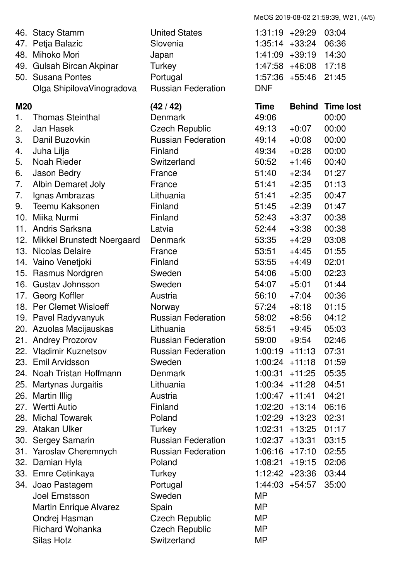46. Stacy Stamm United States 1:31:19 +29:29 03:04 47. Petja Balazic Slovenia 1:35:14 +33:24 06:36 48. Mihoko Mori Japan 1:41:09 +39:19 14:30 49. Gulsah Bircan Akpinar Turkey 1:47:58 +46:08 17:18 50. Susana Pontes Portugal 1:57:36 +55:46 21:45 Olga ShipilovaVinogradova Russian Federation DNF **M20 (42 / 42) Time Behind Time lost** 1. Thomas Steinthal Denmark 49:06 00:00 2. Jan Hasek Czech Republic 49:13 +0:07 00:00 3. Danil Buzovkin Russian Federation 49:14 +0:08 00:00 4. Juha Lilja Finland 49:34 +0:28 00:00 5. Noah Rieder Switzerland 50:52 +1:46 00:40 6. Jason Bedry France 51:40 +2:34 01:27 7. Albin Demaret Joly France 51:41 +2:35 01:13 7. Ignas Ambrazas Lithuania 51:41 +2:35 00:47 9. Teemu Kaksonen Finland 51:45 +2:39 01:47 10. Miika Nurmi Finland 52:43 +3:37 00:38 11. Andris Sarksna Latvia 52:44 +3:38 00:38 12. Mikkel Brunstedt Noergaard Denmark 53:35 +4:29 03:08 13. Nicolas Delaire France 53:51 +4:45 01:55 14. Vaino Venetjoki Finland 53:55 +4:49 02:01 15. Rasmus Nordgren Sweden 54:06 +5:00 02:23 16. Gustav Johnsson Sweden 54:07 +5:01 01:44 17. Georg Koffler **Austria** Austria 56:10 +7:04 00:36 18. Per Clemet Wisloeff Norway 57:24 +8:18 01:15 19. Pavel Radyvanyuk Russian Federation 58:02 +8:56 04:12 20. Azuolas Macijauskas Lithuania 58:51 +9:45 05:03 21. Andrey Prozorov **Russian Federation** 59:00 +9:54 02:46 22. Vladimir Kuznetsov Russian Federation 1:00:19 +11:13 07:31 23. Emil Arvidsson Sweden 1:00:24 +11:18 01:59 24. Noah Tristan Hoffmann Denmark 1:00:31 +11:25 05:35 25. Martynas Jurgaitis Lithuania 1:00:34 +11:28 04:51 26. Martin Illig Austria 1:00:47 +11:41 04:21 27. Wertti Autio Finland 1:02:20 +13:14 06:16 28. Michal Towarek Poland 1:02:29 +13:23 02:31 29. Atakan Ulker Turkey 1:02:31 +13:25 01:17 30. Sergey Samarin Russian Federation 1:02:37 +13:31 03:15 31. Yaroslav Cheremnych Russian Federation 1:06:16 +17:10 02:55 32. Damian Hyla Poland 1:08:21 +19:15 02:06 33. Emre Cetinkaya Turkey 1:12:42 +23:36 03:44 34. Joao Pastagem Portugal 1:44:03 +54:57 35:00 Joel Ernstsson Sweden MP Martin Enrique Alvarez Spain Spain MP Ondrej Hasman Czech Republic MP Richard Wohanka Czech Republic MP Silas Hotz **Switzerland** MP

MeOS 2019-08-02 21:59:39, W21, (4/5)